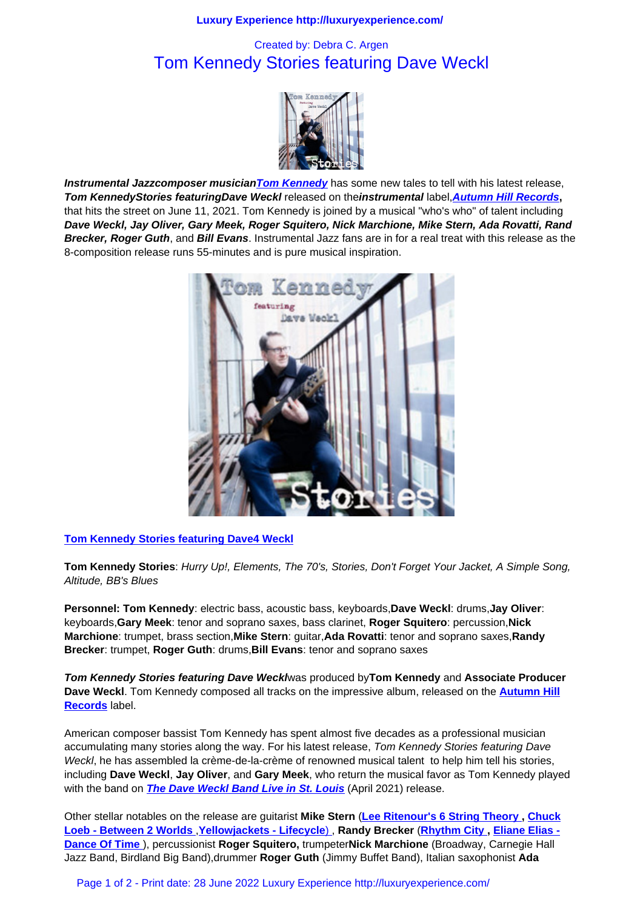## Tom Kennedy Stories featuring Dave Weckl



**Instrumental Jazzcomposer musicianTom Kennedy** has some new tales to tell with his latest release, **Tom KennedyStories featuringDave Weckl** released on the**instrumental** label,**Autumn Hill Records,**  that hits the street on June 11, 2021. Tom K[ennedy is joined by](music_scene/music_artists/tom_kennedy_stories_featuring_dave_weckl.html/) a musical "who's who" of talent including **Dave Weckl, Jay Oliver, Gary Meek, Roger Squitero, Nick Marchione, Mike Stern, Ada Rovatti, Rand Brecker, Roger Guth**, and **Bill Evans**. [Instrumental Ja](http://www.tomkennedymusic.com/)zz fans are in for a real treat with this release as the 8-composition release runs 55-minutes and is pure musical inspiration.



**Tom Kennedy Stories featuring Dave4 Weckl**

**Tom Kennedy Stories**: [Hurry Up!, Elements, The 70's, Stories, Don't Forget Your](http://www.tomkennedymusic.com/) Jacket, A Simple Song, Altitude, BB's Blues

**Personnel: Tom Kennedy**: electric bass, acoustic bass, keyboards,**Dave Weckl**: drums,**Jay Oliver**: keyboards,**Gary Meek**: tenor and soprano saxes, bass clarinet, **Roger Squitero**: percussion,**Nick Marchione**: trumpet, brass section,**Mike Stern**: guitar,**Ada Rovatti**: tenor and soprano saxes,**Randy Brecker**: trumpet, **Roger Guth**: drums,**Bill Evans**: tenor and soprano saxes

**Tom Kennedy Stories featuring Dave Weckl**was produced by**Tom Kennedy** and **Associate Producer Dave Weckl**. Tom Kennedy composed all tracks on the impressive album, released on the **Autumn Hill Records** label.

American composer bassist Tom Kennedy has spent almost five decades as a professional musician accumulating many stories along the way. For his latest release, Tom Kennedy Stories feat[uring Dave](http://www.autumnhillrecords.com/) [Weckl](http://www.autumnhillrecords.com/), he has assembled la crème-de-la-crème of renowned musical talent to help him tell his stories, including **Dave Weckl**, **Jay Oliver**, and **Gary Meek**, who return the musical favor as Tom Kennedy played with the band on **The Dave Weckl Band Live in St. Louis** (April 2021) release.

Other stellar notables on the release are guitarist **Mike Stern** (**Lee Ritenour's 6 String Theory , Chuck Loeb - Between 2 Worlds** ,**Yellowjackets - Lifecycle**) , **Randy Brecker** (**Rhythm City , Eliane Elias - Dance Of Time** ), percussionist **[Roger Squitero,](music_scene/music_artists/the_dave_weckl_band_live_in_st._louis.html)** trumpeter**Nick Marchione** (Broadway, Carnegie Hall Jazz Band, Birdland Big Band),drummer **Roger Guth** (Jimmy Buffet Band), Italian saxophonist **Ada**

[Page 1 of 2 - Print date: 2](music_scene/music_artists/chuck_loeb_-_between_2_worlds.html)[8 June 2022 Luxury Experie](music_scene/music_artists/yellowjackets_-_lifecycle.html)nce http://luxurye[xperience.com/](music_scene/music_artists/rhythm_city.html)